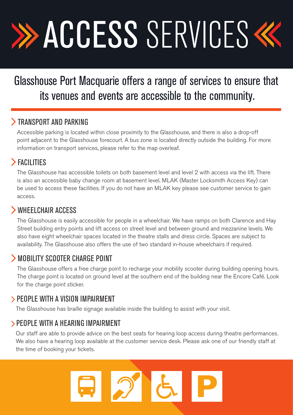# **>> ACCESS SERVICES <<**

## Glasshouse Port Macquarie offers a range of services to ensure that its venues and events are accessible to the community.

#### **TRANSPORT AND PARKING**

Accessible parking is located within close proximity to the Glasshouse, and there is also a drop-off point adjacent to the Glasshouse forecourt. A bus zone is located directly outside the building. For more information on transport services, please refer to the map overleaf.

### FACILITIES

The Glasshouse has accessible toilets on both basement level and level 2 with access via the lift. There is also an accessible baby change room at basement level. MLAK (Master Locksmith Access Key) can be used to access these facilities. If you do not have an MLAK key please see customer service to gain access.

#### WHEELCHAIR ACCESS

The Glasshouse is easily accessible for people in a wheelchair. We have ramps on both Clarence and Hay Street building entry points and lift access on street level and between ground and mezzanine levels. We also have eight wheelchair spaces located in the theatre stalls and dress circle. Spaces are subject to availability. The Glasshouse also offers the use of two standard in-house wheelchairs if required.

#### MOBILITY SCOOTER CHARGE POINT

The Glasshouse offers a free charge point to recharge your mobility scooter during building opening hours. The charge point is located on ground level at the southern end of the building near the Encore Café. Look for the charge point sticker.

#### PEOPLE WITH A VISION IMPAIRMENT

The Glasshouse has braille signage available inside the building to assist with your visit.

#### PEOPLE WITH A HEARING IMPAIRMENT

Our staff are able to provide advice on the best seats for hearing loop access during theatre performances. We also have a hearing loop available at the customer service desk. Please ask one of our friendly staff at the time of booking your tickets.